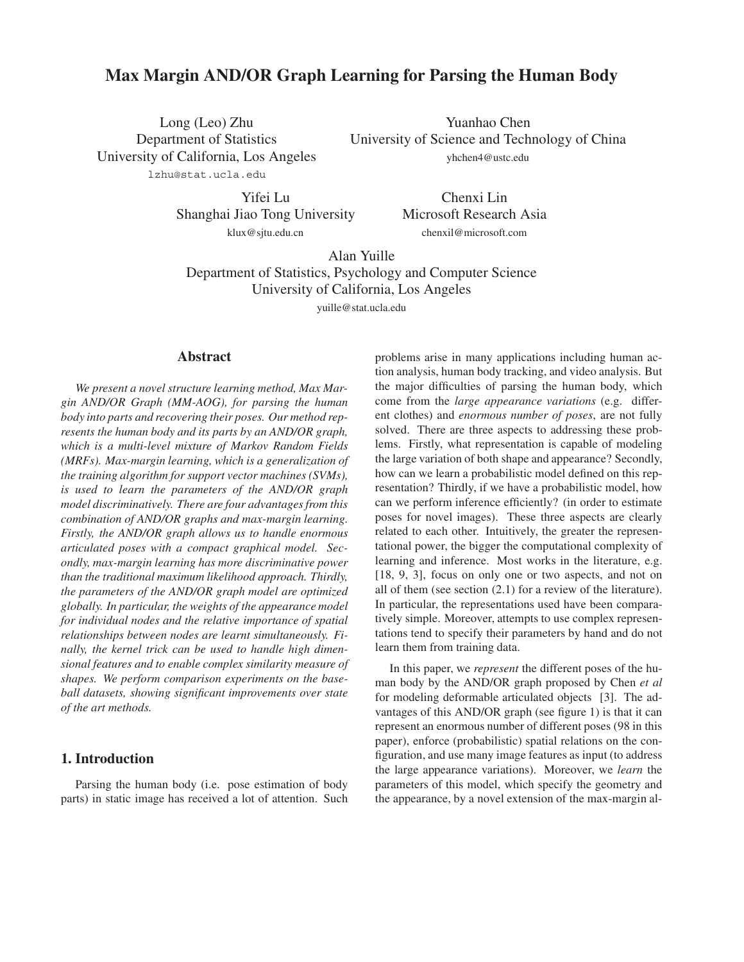# **Max Margin AND/OR Graph Learning for Parsing the Human Body**

Long (Leo) Zhu Department of Statistics University of California, Los Angeles lzhu@stat.ucla.edu

Yuanhao Chen University of Science and Technology of China yhchen4@ustc.edu

Yifei Lu

Shanghai Jiao Tong University klux@sjtu.edu.cn

Chenxi Lin Microsoft Research Asia chenxil@microsoft.com

Alan Yuille Department of Statistics, Psychology and Computer Science University of California, Los Angeles yuille@stat.ucla.edu

## **Abstract**

*We present a novel structure learning method, Max Margin AND/OR Graph (MM-AOG), for parsing the human body into parts and recovering their poses. Our method represents the human body and its parts by an AND/OR graph, which is a multi-level mixture of Markov Random Fields (MRFs). Max-margin learning, which is a generalization of the training algorithm for support vector machines (SVMs), is used to learn the parameters of the AND/OR graph model discriminatively. There are four advantages from this combination of AND/OR graphs and max-margin learning. Firstly, the AND/OR graph allows us to handle enormous articulated poses with a compact graphical model. Secondly, max-margin learning has more discriminative power than the traditional maximum likelihood approach. Thirdly, the parameters of the AND/OR graph model are optimized globally. In particular, the weights of the appearance model for individual nodes and the relative importance of spatial relationships between nodes are learnt simultaneously. Finally, the kernel trick can be used to handle high dimensional features and to enable complex similarity measure of shapes. We perform comparison experiments on the baseball datasets, showing significant improvements over state of the art methods.*

# **1. Introduction**

Parsing the human body (i.e. pose estimation of body parts) in static image has received a lot of attention. Such

problems arise in many applications including human action analysis, human body tracking, and video analysis. But the major difficulties of parsing the human body, which come from the *large appearance variations* (e.g. different clothes) and *enormous number of poses*, are not fully solved. There are three aspects to addressing these problems. Firstly, what representation is capable of modeling the large variation of both shape and appearance? Secondly, how can we learn a probabilistic model defined on this representation? Thirdly, if we have a probabilistic model, how can we perform inference efficiently? (in order to estimate poses for novel images). These three aspects are clearly related to each other. Intuitively, the greater the representational power, the bigger the computational complexity of learning and inference. Most works in the literature, e.g. [18, 9, 3], focus on only one or two aspects, and not on all of them (see section (2.1) for a review of the literature). In particular, the representations used have been comparatively simple. Moreover, attempts to use complex representations tend to specify their parameters by hand and do not learn them from training data.

In this paper, we *represent* the different poses of the human body by the AND/OR graph proposed by Chen *et al* for modeling deformable articulated objects [3]. The advantages of this AND/OR graph (see figure 1) is that it can represent an enormous number of different poses (98 in this paper), enforce (probabilistic) spatial relations on the configuration, and use many image features as input (to address the large appearance variations). Moreover, we *learn* the parameters of this model, which specify the geometry and the appearance, by a novel extension of the max-margin al-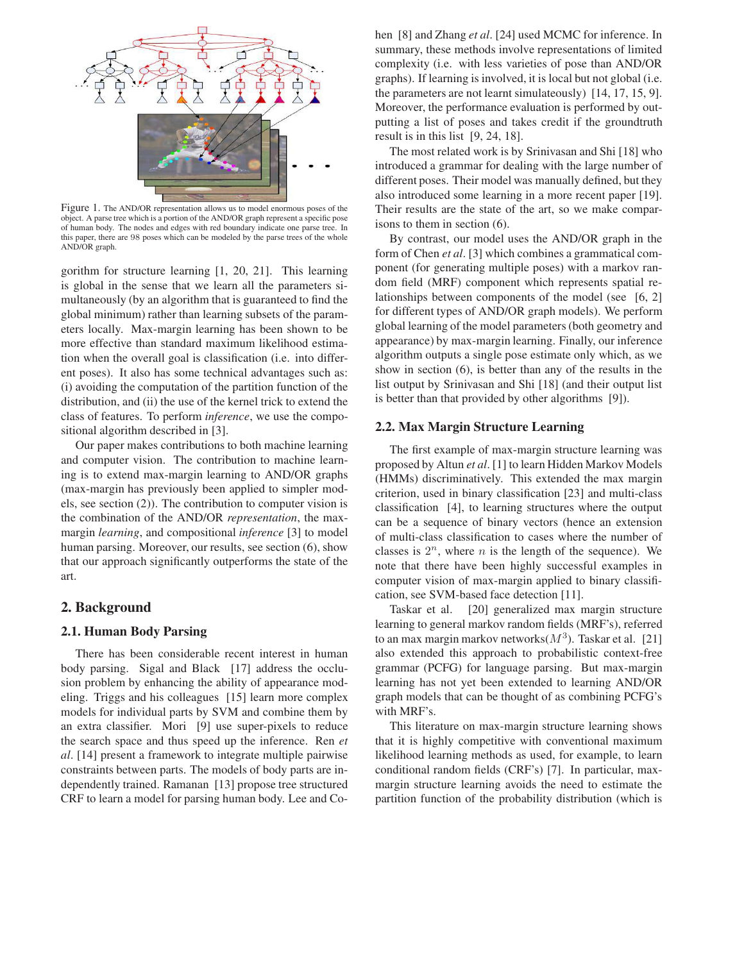

Figure 1. The AND/OR representation allows us to model enormous poses of the object. A parse tree which is a portion of the AND/OR graph represent a specific pose of human body. The nodes and edges with red boundary indicate one parse tree. In this paper, there are 98 poses which can be modeled by the parse trees of the whole AND/OR graph.

gorithm for structure learning [1, 20, 21]. This learning is global in the sense that we learn all the parameters simultaneously (by an algorithm that is guaranteed to find the global minimum) rather than learning subsets of the parameters locally. Max-margin learning has been shown to be more effective than standard maximum likelihood estimation when the overall goal is classification (i.e. into different poses). It also has some technical advantages such as: (i) avoiding the computation of the partition function of the distribution, and (ii) the use of the kernel trick to extend the class of features. To perform *inference*, we use the compositional algorithm described in [3].

Our paper makes contributions to both machine learning and computer vision. The contribution to machine learning is to extend max-margin learning to AND/OR graphs (max-margin has previously been applied to simpler models, see section (2)). The contribution to computer vision is the combination of the AND/OR *representation*, the maxmargin *learning*, and compositional *inference* [3] to model human parsing. Moreover, our results, see section (6), show that our approach significantly outperforms the state of the art.

### **2. Background**

#### **2.1. Human Body Parsing**

There has been considerable recent interest in human body parsing. Sigal and Black [17] address the occlusion problem by enhancing the ability of appearance modeling. Triggs and his colleagues [15] learn more complex models for individual parts by SVM and combine them by an extra classifier. Mori [9] use super-pixels to reduce the search space and thus speed up the inference. Ren *et al*. [14] present a framework to integrate multiple pairwise constraints between parts. The models of body parts are independently trained. Ramanan [13] propose tree structured CRF to learn a model for parsing human body. Lee and Cohen [8] and Zhang *et al*. [24] used MCMC for inference. In summary, these methods involve representations of limited complexity (i.e. with less varieties of pose than AND/OR graphs). If learning is involved, it is local but not global (i.e. the parameters are not learnt simulateously) [14, 17, 15, 9]. Moreover, the performance evaluation is performed by outputting a list of poses and takes credit if the groundtruth result is in this list [9, 24, 18].

The most related work is by Srinivasan and Shi [18] who introduced a grammar for dealing with the large number of different poses. Their model was manually defined, but they also introduced some learning in a more recent paper [19]. Their results are the state of the art, so we make comparisons to them in section (6).

By contrast, our model uses the AND/OR graph in the form of Chen *et al*. [3] which combines a grammatical component (for generating multiple poses) with a markov random field (MRF) component which represents spatial relationships between components of the model (see [6, 2] for different types of AND/OR graph models). We perform global learning of the model parameters (both geometry and appearance) by max-margin learning. Finally, our inference algorithm outputs a single pose estimate only which, as we show in section (6), is better than any of the results in the list output by Srinivasan and Shi [18] (and their output list is better than that provided by other algorithms [9]).

### **2.2. Max Margin Structure Learning**

The first example of max-margin structure learning was proposed by Altun *et al*. [1] to learn Hidden Markov Models (HMMs) discriminatively. This extended the max margin criterion, used in binary classification [23] and multi-class classification [4], to learning structures where the output can be a sequence of binary vectors (hence an extension of multi-class classification to cases where the number of classes is  $2^n$ , where *n* is the length of the sequence). We note that there have been highly successful examples in computer vision of max-margin applied to binary classification, see SVM-based face detection [11].

Taskar et al. [20] generalized max margin structure learning to general markov random fields (MRF's), referred to an max margin markov networks( $M<sup>3</sup>$ ). Taskar et al. [21] also extended this approach to probabilistic context-free grammar (PCFG) for language parsing. But max-margin learning has not yet been extended to learning AND/OR graph models that can be thought of as combining PCFG's with MRF's.

This literature on max-margin structure learning shows that it is highly competitive with conventional maximum likelihood learning methods as used, for example, to learn conditional random fields (CRF's) [7]. In particular, maxmargin structure learning avoids the need to estimate the partition function of the probability distribution (which is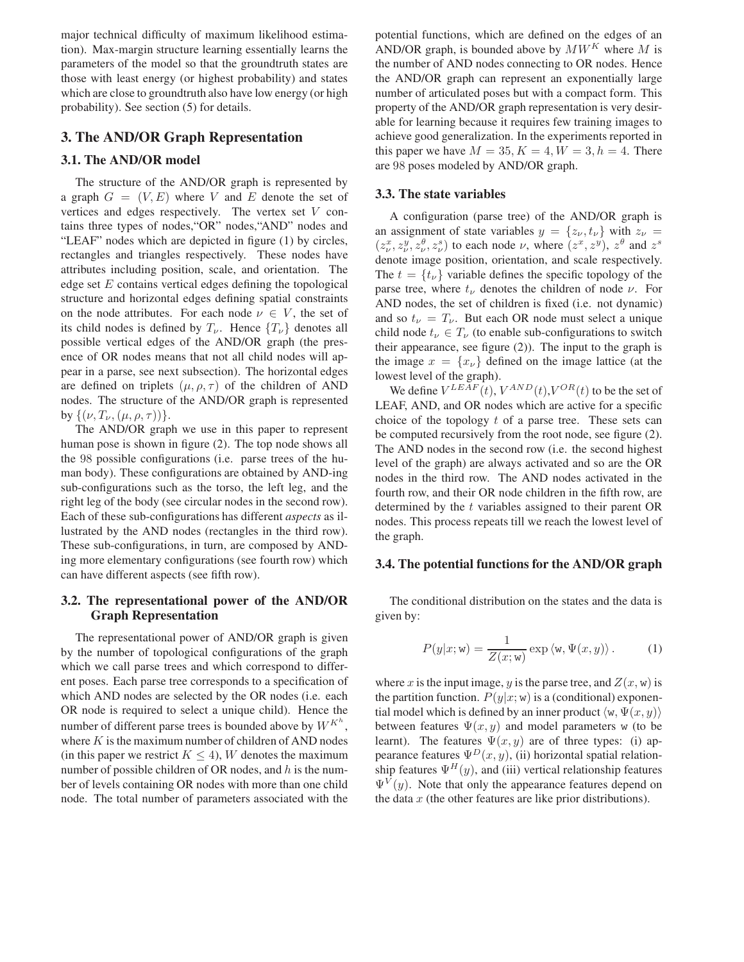major technical difficulty of maximum likelihood estimation). Max-margin structure learning essentially learns the parameters of the model so that the groundtruth states are those with least energy (or highest probability) and states which are close to groundtruth also have low energy (or high probability). See section (5) for details.

# **3. The AND/OR Graph Representation**

### **3.1. The AND/OR model**

The structure of the AND/OR graph is represented by a graph  $G = (V, E)$  where V and E denote the set of vertices and edges respectively. The vertex set V contains three types of nodes,"OR" nodes,"AND" nodes and "LEAF" nodes which are depicted in figure (1) by circles, rectangles and triangles respectively. These nodes have attributes including position, scale, and orientation. The edge set  $E$  contains vertical edges defining the topological structure and horizontal edges defining spatial constraints on the node attributes. For each node  $\nu \in V$ , the set of its child nodes is defined by  $T_{\nu}$ . Hence  $\{T_{\nu}\}\$  denotes all possible vertical edges of the AND/OR graph (the presence of OR nodes means that not all child nodes will appear in a parse, see next subsection). The horizontal edges are defined on triplets  $(\mu, \rho, \tau)$  of the children of AND nodes. The structure of the AND/OR graph is represented by  $\{(\nu, T_{\nu}, (\mu, \rho, \tau))\}.$ 

The AND/OR graph we use in this paper to represent human pose is shown in figure (2). The top node shows all the 98 possible configurations (i.e. parse trees of the human body). These configurations are obtained by AND-ing sub-configurations such as the torso, the left leg, and the right leg of the body (see circular nodes in the second row). Each of these sub-configurations has different *aspects* as illustrated by the AND nodes (rectangles in the third row). These sub-configurations, in turn, are composed by ANDing more elementary configurations (see fourth row) which can have different aspects (see fifth row).

# **3.2. The representational power of the AND/OR Graph Representation**

The representational power of AND/OR graph is given by the number of topological configurations of the graph which we call parse trees and which correspond to different poses. Each parse tree corresponds to a specification of which AND nodes are selected by the OR nodes (i.e. each OR node is required to select a unique child). Hence the number of different parse trees is bounded above by  $W^{K^h}$ , where  $K$  is the maximum number of children of AND nodes (in this paper we restrict  $K \leq 4$ ), W denotes the maximum number of possible children of OR nodes, and  $h$  is the number of levels containing OR nodes with more than one child node. The total number of parameters associated with the

potential functions, which are defined on the edges of an AND/OR graph, is bounded above by  $MW<sup>K</sup>$  where M is the number of AND nodes connecting to OR nodes. Hence the AND/OR graph can represent an exponentially large number of articulated poses but with a compact form. This property of the AND/OR graph representation is very desirable for learning because it requires few training images to achieve good generalization. In the experiments reported in this paper we have  $M = 35, K = 4, W = 3, h = 4$ . There are 98 poses modeled by AND/OR graph.

#### **3.3. The state variables**

A configuration (parse tree) of the AND/OR graph is an assignment of state variables  $y = \{z_{\nu}, t_{\nu}\}\$  with  $z_{\nu} =$  $(z_x^x, z_y^y, z_y^{\theta}, z_y^s)$  to each node  $\nu$ , where  $(z^x, z^y)$ ,  $z^{\theta}$  and  $z^s$ <br>denote image position, orientation, and scale respectively denote image position, orientation, and scale respectively. The  $t = \{t_{\nu}\}\$  variable defines the specific topology of the parse tree, where  $t_{\nu}$  denotes the children of node  $\nu$ . For AND nodes, the set of children is fixed (i.e. not dynamic) and so  $t_{\nu} = T_{\nu}$ . But each OR node must select a unique child node  $t_{\nu} \in T_{\nu}$  (to enable sub-configurations to switch their appearance, see figure (2)). The input to the graph is the image  $x = \{x_{\nu}\}\$  defined on the image lattice (at the lowest level of the graph).

We define  $V^{LEAF}(t)$ ,  $V^{AND}(t)$ ,  $V^{OR}(t)$  to be the set of LEAF, AND, and OR nodes which are active for a specific choice of the topology  $t$  of a parse tree. These sets can be computed recursively from the root node, see figure (2). The AND nodes in the second row (i.e. the second highest level of the graph) are always activated and so are the OR nodes in the third row. The AND nodes activated in the fourth row, and their OR node children in the fifth row, are determined by the t variables assigned to their parent OR nodes. This process repeats till we reach the lowest level of the graph.

#### **3.4. The potential functions for the AND/OR graph**

The conditional distribution on the states and the data is given by:

$$
P(y|x; \mathbf{w}) = \frac{1}{Z(x; \mathbf{w})} \exp \langle \mathbf{w}, \Psi(x, y) \rangle.
$$
 (1)

where x is the input image, y is the parse tree, and  $Z(x, w)$  is the partition function.  $P(y|x; w)$  is a (conditional) exponential model which is defined by an inner product  $\langle w, \Psi(x, y) \rangle$ between features  $\Psi(x, y)$  and model parameters w (to be learnt). The features  $\Psi(x, y)$  are of three types: (i) appearance features  $\Psi^{D}(x, y)$ , (ii) horizontal spatial relationship features  $\Psi^H(y)$ , and (iii) vertical relationship features  $\Psi^{V}(y)$ . Note that only the appearance features depend on the data  $x$  (the other features are like prior distributions).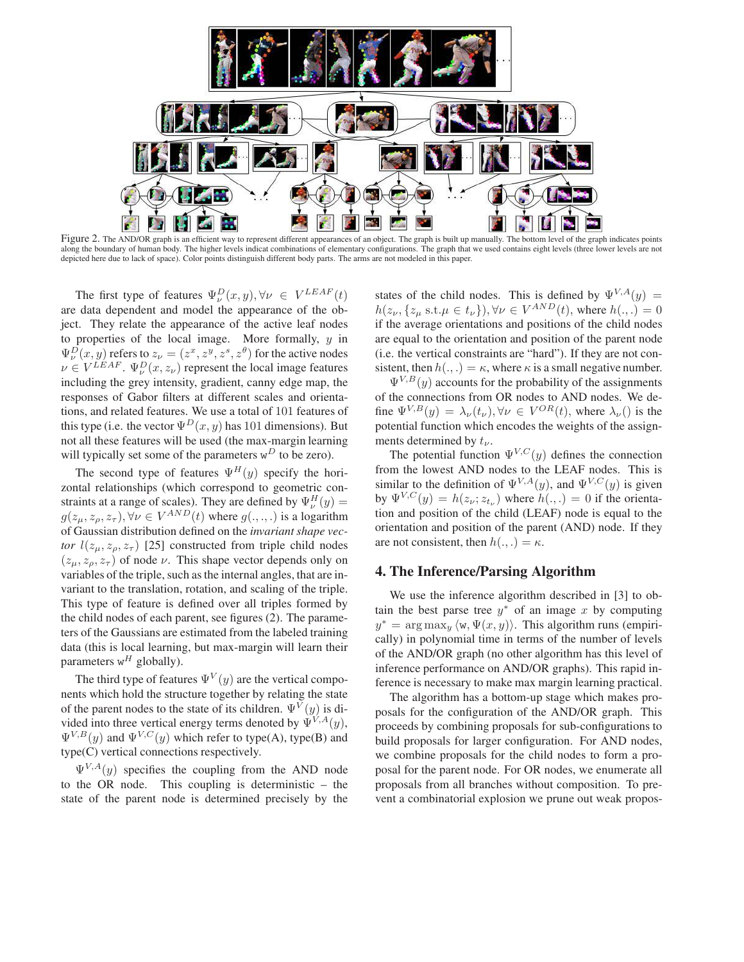

Figure 2. The AND/OR graph is an efficient way to represent different appearances of an object. The graph is built up manually. The bottom level of the graph indicates points along the boundary of human body. The higher levels indicat combinations of elementary configurations. The graph that we used contains eight levels (three lower levels are not depicted here due to lack of space). Color points distinguish different body parts. The arms are not modeled in this paper.

The first type of features  $\Psi_{\nu}^{D}(x, y), \forall \nu \in V^{LEAF}(t)$ <br>data dependent and model the appearance of the obare data dependent and model the appearance of the object. They relate the appearance of the active leaf nodes to properties of the local image. More formally,  $y$  in  $\Psi_{\nu}^{D}(x, y)$  refers to  $z_{\nu} = (z^{x}, z^{y}, z^{s}, z^{b})$  for the active nodes<br> $v \in V^{LEAF}$   $\Psi_{\nu}(x, z)$  represent the local image features  $\nu \in V^{LEAF}$ .  $\Psi_{\nu}^{D}(x, z_{\nu})$  represent the local image features<br>including the grey intensity gradient, canny edge man, the including the grey intensity, gradient, canny edge map, the responses of Gabor filters at different scales and orientations, and related features. We use a total of 101 features of this type (i.e. the vector  $\Psi^{D}(x, y)$  has 101 dimensions). But not all these features will be used (the max-margin learning will typically set some of the parameters  $w^D$  to be zero).

The second type of features  $\Psi^H(y)$  specify the horizontal relationships (which correspond to geometric constraints at a range of scales). They are defined by  $\Psi_{\mu}^{H}(y) =$  $u^H_{\nu}(y) =$  $g(z_\mu, z_\rho, z_\tau), \forall \nu \in V^{AND}(t)$  where  $g(.,.,.)$  is a logarithm<br>of Gaussian distribution defined on the *invariant shane yec*of Gaussian distribution defined on the *invariant shape vector*  $l(z_\mu, z_\rho, z_\tau)$  [25] constructed from triple child nodes  $(z_{\mu}, z_{\rho}, z_{\tau})$  of node  $\nu$ . This shape vector depends only on variables of the triple, such as the internal angles, that are invariant to the translation, rotation, and scaling of the triple. This type of feature is defined over all triples formed by the child nodes of each parent, see figures (2). The parameters of the Gaussians are estimated from the labeled training data (this is local learning, but max-margin will learn their parameters  $w^H$  globally).

The third type of features  $\Psi^{V}(y)$  are the vertical components which hold the structure together by relating the state of the parent nodes to the state of its children.  $\Psi^{V}(y)$  is divided into three vertical energy terms denoted by  $\Psi^{V,A}(y)$ ,  $\Psi^{V,B}(y)$  and  $\Psi^{V,C}(y)$  which refer to type(A), type(B) and type(C) vertical connections respectively.

 $\Psi^{V,A}(y)$  specifies the coupling from the AND node to the OR node. This coupling is deterministic – the state of the parent node is determined precisely by the

states of the child nodes. This is defined by  $\Psi^{V,A}(y) =$  $h(z_{\nu}, \{z_{\mu} \text{ s.t. } \mu \in t_{\nu}\}), \forall \nu \in V^{AND}(t)$ , where  $h(.,.)=0$ if the average orientations and positions of the child nodes are equal to the orientation and position of the parent node (i.e. the vertical constraints are "hard"). If they are not consistent, then  $h(.,.) = \kappa$ , where  $\kappa$  is a small negative number.

 $\Psi^{V,B}(y)$  accounts for the probability of the assignments of the connections from OR nodes to AND nodes. We define  $\Psi^{V,B}(y) = \lambda_{\nu}(t_{\nu}), \forall \nu \in V^{OR}(t)$ , where  $\lambda_{\nu}$ () is the potential function which encodes the weights of the assignments determined by  $t_{\nu}$ .

The potential function  $\Psi^{V,C}(y)$  defines the connection from the lowest AND nodes to the LEAF nodes. This is similar to the definition of  $\Psi^{V,A}(y)$ , and  $\Psi^{V,C}(y)$  is given by  $\Psi^{V,C}(y) = h(z_v; z_{t_v})$  where  $h(.,.)=0$  if the orientation and position of the child (LEAF) node is equal to the orientation and position of the parent (AND) node. If they are not consistent, then  $h(.,.) = \kappa$ .

### **4. The Inference/Parsing Algorithm**

We use the inference algorithm described in [3] to obtain the best parse tree  $y^*$  of an image x by computing  $y^* = \arg \max_{y} \langle w, \Psi(x, y) \rangle$ . This algorithm runs (empirically) in polynomial time in terms of the number of levels of the AND/OR graph (no other algorithm has this level of inference performance on AND/OR graphs). This rapid inference is necessary to make max margin learning practical.

The algorithm has a bottom-up stage which makes proposals for the configuration of the AND/OR graph. This proceeds by combining proposals for sub-configurations to build proposals for larger configuration. For AND nodes, we combine proposals for the child nodes to form a proposal for the parent node. For OR nodes, we enumerate all proposals from all branches without composition. To prevent a combinatorial explosion we prune out weak propos-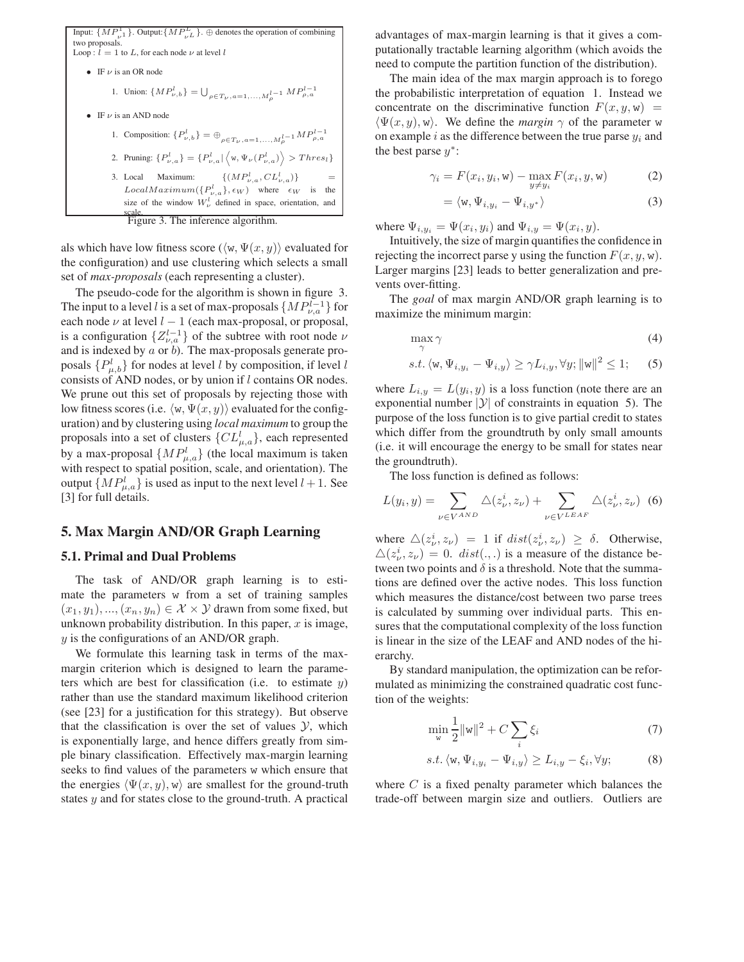Input:  $\{MP_{\nu^1}^1\}$ . Output:  $\{MP_{\nu^L}^L\}$ . ⊕ denotes the operation of combining two proposals. Loop :  $l = 1$  to L, for each node  $\nu$  at level l • IF  $\nu$  is an OR node 1. Union:  $\{MP_{\nu,b}^l\} = \bigcup_{\rho \in T_{\nu}, a=1,...,M_{\rho}^{l-1}} MP_{\rho,a}^{l-1}$ • IF  $\nu$  is an AND node 1. Composition:  $\{P_{\nu,b}^l\} = \bigoplus_{\rho \in T_{\nu}, a=1,...,M_{\rho}^{l-1}} MP_{\rho,a}^{l-1}$ 2. Pruning:  $\{P_{\nu,a}^l\} = \{P_{\nu,a}^l | \langle w, \Psi_{\nu}(P_{\nu,a}^l) \rangle > Thres_l\}$ 3. Local Maximum:  $\{(MP_{\nu,a}^l, CL_{\nu,a}^l)\}$  $\{u_{\nu,a}\}\}$  =  $LocalMaximum({P_{\nu,a}^l}, \epsilon_W)$  where  $\epsilon_W$  is the size of the window  $W^l_\nu$  defined in space, orientation, and scale. Figure 3. The inference algorithm.

als which have low fitness score ( $\langle w, \Psi(x, y) \rangle$  evaluated for the configuration) and use clustering which selects a small set of *max-proposals* (each representing a cluster).

The pseudo-code for the algorithm is shown in figure 3. The input to a level l is a set of max-proposals  $\{MP_{\nu,a}^{l-1}\}$  for each node  $\nu$  at level  $l-1$  (each max-proposal, or proposal, each node  $\nu$  at level  $l - 1$  (each max-proposal, or proposal, is a configuration  $\{Z_{\nu,a}^{l-1}\}$  of the subtree with root node  $\nu$ and is indexed by  $a$  or  $b$ ). The max-proposals generate proposals  $\{P_{\mu,b}^l\}$  for nodes at level l by composition, if level l consists of AND nodes, or by union if l contains OR nodes. We prune out this set of proposals by rejecting those with low fitness scores (i.e.  $\langle w, \Psi(x, y) \rangle$  evaluated for the configuration) and by clustering using *local maximum* to group the proposals into a set of clusters  $\{CL_{\mu,a}^l\}$ , each represented by a max-proposal  $\{MP_{\mu,a}^l\}$  (the local maximum is taken with respect to spatial position, scale, and orientation). The output  $\{MP_{\mu,a}^l\}$  is used as input to the next level  $l+1$ . See [3] for full details.

### **5. Max Margin AND/OR Graph Learning**

#### **5.1. Primal and Dual Problems**

The task of AND/OR graph learning is to estimate the parameters w from a set of training samples  $(x_1, y_1), ..., (x_n, y_n) \in \mathcal{X} \times \mathcal{Y}$  drawn from some fixed, but unknown probability distribution. In this paper,  $x$  is image, y is the configurations of an AND/OR graph.

We formulate this learning task in terms of the maxmargin criterion which is designed to learn the parameters which are best for classification (i.e. to estimate  $y$ ) rather than use the standard maximum likelihood criterion (see [23] for a justification for this strategy). But observe that the classification is over the set of values  $\mathcal{Y}$ , which is exponentially large, and hence differs greatly from simple binary classification. Effectively max-margin learning seeks to find values of the parameters w which ensure that the energies  $\langle \Psi(x, y), w \rangle$  are smallest for the ground-truth states y and for states close to the ground-truth. A practical

advantages of max-margin learning is that it gives a computationally tractable learning algorithm (which avoids the need to compute the partition function of the distribution).

The main idea of the max margin approach is to forego the probabilistic interpretation of equation 1. Instead we concentrate on the discriminative function  $F(x, y, w)$  =  $\langle \Psi(x, y), w \rangle$ . We define the *margin*  $\gamma$  of the parameter w on example i as the difference between the true parse  $y_i$  and the best parse  $y^*$ :

$$
\gamma_i = F(x_i, y_i, \mathbf{w}) - \max_{y \neq y_i} F(x_i, y, \mathbf{w}) \tag{2}
$$

$$
= \langle w, \Psi_{i,y_i} - \Psi_{i,y^*} \rangle \tag{3}
$$

where  $\Psi_{i,y_i} = \Psi(x_i, y_i)$  and  $\Psi_{i,y} = \Psi(x_i, y)$ .

Intuitively, the size of margin quantifies the confidence in rejecting the incorrect parse y using the function  $F(x, y, w)$ . Larger margins [23] leads to better generalization and prevents over-fitting.

The *goal* of max margin AND/OR graph learning is to maximize the minimum margin:

$$
\max_{\gamma} \gamma \tag{4}
$$

$$
s.t. \langle w, \Psi_{i,y_i} - \Psi_{i,y} \rangle \ge \gamma L_{i,y}, \forall y; ||w||^2 \le 1;
$$
 (5)

where  $L_{i,y} = L(y_i, y)$  is a loss function (note there are an exponential number  $|y|$  of constraints in equation 5). The purpose of the loss function is to give partial credit to states which differ from the groundtruth by only small amounts (i.e. it will encourage the energy to be small for states near the groundtruth).

The loss function is defined as follows:

$$
L(y_i, y) = \sum_{\nu \in V^{AND}} \Delta(z_{\nu}^i, z_{\nu}) + \sum_{\nu \in V^{LEAF}} \Delta(z_{\nu}^i, z_{\nu}) \tag{6}
$$

where  $\triangle(z_\nu^i, z_\nu) = 1$  if  $dist(z_\nu^i, z_\nu) \ge \delta$ . Otherwise,<br> $\triangle(z_i^i, z_i) = 0$ ,  $dist(z_i)$  is a measure of the distance be- $\Delta(z_i^i, z_i) = 0$ . dist(...) is a measure of the distance be-<br>tween two points and  $\delta$  is a threshold. Note that the summatween two points and  $\delta$  is a threshold. Note that the summations are defined over the active nodes. This loss function which measures the distance/cost between two parse trees is calculated by summing over individual parts. This ensures that the computational complexity of the loss function is linear in the size of the LEAF and AND nodes of the hierarchy.

By standard manipulation, the optimization can be reformulated as minimizing the constrained quadratic cost function of the weights:

$$
\min_{\mathbf{w}} \frac{1}{2} ||\mathbf{w}||^2 + C \sum_{i} \xi_i
$$
 (7)

$$
s.t. \langle \mathbf{w}, \Psi_{i,y_i} - \Psi_{i,y} \rangle \ge L_{i,y} - \xi_i, \forall y; \tag{8}
$$

where  $C$  is a fixed penalty parameter which balances the trade-off between margin size and outliers. Outliers are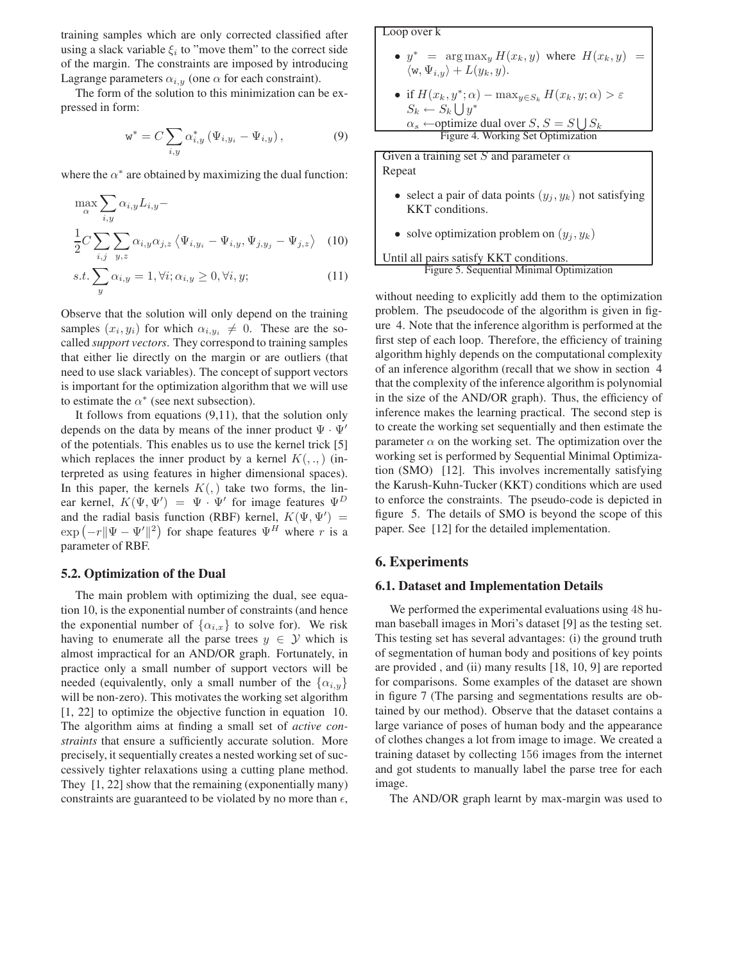training samples which are only corrected classified after using a slack variable  $\xi_i$  to "move them" to the correct side of the margin. The constraints are imposed by introducing Lagrange parameters  $\alpha_{i,y}$  (one  $\alpha$  for each constraint).

The form of the solution to this minimization can be expressed in form:

$$
w^* = C \sum_{i,y} \alpha^*_{i,y} (\Psi_{i,y_i} - \Psi_{i,y}), \qquad (9)
$$

where the  $\alpha^*$  are obtained by maximizing the dual function:

$$
\max_{\alpha} \sum_{i,y} \alpha_{i,y} L_{i,y} - \frac{1}{2} C \sum_{i,j} \sum_{y,z} \alpha_{i,y} \alpha_{j,z} \langle \Psi_{i,y_i} - \Psi_{i,y}, \Psi_{j,y_j} - \Psi_{j,z} \rangle \quad (10)
$$

$$
s.t. \sum_{y} \alpha_{i,y} = 1, \forall i; \alpha_{i,y} \ge 0, \forall i, y;
$$
 (11)

Observe that the solution will only depend on the training samples  $(x_i, y_i)$  for which  $\alpha_{i, y_i} \neq 0$ . These are the socalled *support vectors*. They correspond to training samples that either lie directly on the margin or are outliers (that need to use slack variables). The concept of support vectors is important for the optimization algorithm that we will use to estimate the  $\alpha^*$  (see next subsection).

It follows from equations (9,11), that the solution only depends on the data by means of the inner product  $\Psi \cdot \Psi'$ of the potentials. This enables us to use the kernel trick [5] which replaces the inner product by a kernel  $K(.,.)$  (interpreted as using features in higher dimensional spaces). In this paper, the kernels  $K($ , all take two forms, the linear kernel,  $K(\Psi, \Psi') = \Psi \cdot \Psi'$  for image features  $\Psi^D$ <br>and the radial basis function (RBE) kernel  $K(\Psi, \Psi')$ and the radial basis function (RBF) kernel,  $K(\Psi, \Psi')$  =  $\exp(-r||\Psi - \Psi'||^2)$  for shape features  $\Psi^H$  where r is a<br>parameter of RBE parameter of RBF.

#### **5.2. Optimization of the Dual**

The main problem with optimizing the dual, see equation 10, is the exponential number of constraints (and hence the exponential number of  $\{\alpha_{i,x}\}\$  to solve for). We risk having to enumerate all the parse trees  $y \in \mathcal{Y}$  which is almost impractical for an AND/OR graph. Fortunately, in practice only a small number of support vectors will be needed (equivalently, only a small number of the  $\{\alpha_{i,y}\}\$ will be non-zero). This motivates the working set algorithm [1, 22] to optimize the objective function in equation 10. The algorithm aims at finding a small set of *active constraints* that ensure a sufficiently accurate solution. More precisely, it sequentially creates a nested working set of successively tighter relaxations using a cutting plane method. They [1, 22] show that the remaining (exponentially many) constraints are guaranteed to be violated by no more than  $\epsilon$ ,

# Loop over k

•  $y^*$  =  $\arg \max_y H(x_k, y)$  where  $H(x_k, y)$  =  $\langle w, \Psi_{i,y} \rangle + L(y_k, y).$ 

\n- if 
$$
H(x_k, y^*; \alpha) - \max_{y \in S_k} H(x_k, y; \alpha) > \varepsilon
$$
\n $S_k \leftarrow S_k \bigcup y^*$ \n $\alpha_s \leftarrow \text{optimize dual over } S, S = S \bigcup S_k$ \n Figure 4. Working Set Optimization
\n

Given a training set S and parameter  $\alpha$ Repeat

- select a pair of data points  $(y_i, y_k)$  not satisfying KKT conditions.
- solve optimization problem on  $(y_j, y_k)$

Until all pairs satisfy KKT conditions. Figure 5. Sequential Minimal Optimization

without needing to explicitly add them to the optimization problem. The pseudocode of the algorithm is given in figure 4. Note that the inference algorithm is performed at the first step of each loop. Therefore, the efficiency of training algorithm highly depends on the computational complexity of an inference algorithm (recall that we show in section 4 that the complexity of the inference algorithm is polynomial in the size of the AND/OR graph). Thus, the efficiency of inference makes the learning practical. The second step is to create the working set sequentially and then estimate the parameter  $\alpha$  on the working set. The optimization over the working set is performed by Sequential Minimal Optimization (SMO) [12]. This involves incrementally satisfying the Karush-Kuhn-Tucker (KKT) conditions which are used to enforce the constraints. The pseudo-code is depicted in figure 5. The details of SMO is beyond the scope of this paper. See [12] for the detailed implementation.

### **6. Experiments**

#### **6.1. Dataset and Implementation Details**

We performed the experimental evaluations using 48 human baseball images in Mori's dataset [9] as the testing set. This testing set has several advantages: (i) the ground truth of segmentation of human body and positions of key points are provided , and (ii) many results [18, 10, 9] are reported for comparisons. Some examples of the dataset are shown in figure 7 (The parsing and segmentations results are obtained by our method). Observe that the dataset contains a large variance of poses of human body and the appearance of clothes changes a lot from image to image. We created a training dataset by collecting 156 images from the internet and got students to manually label the parse tree for each image.

The AND/OR graph learnt by max-margin was used to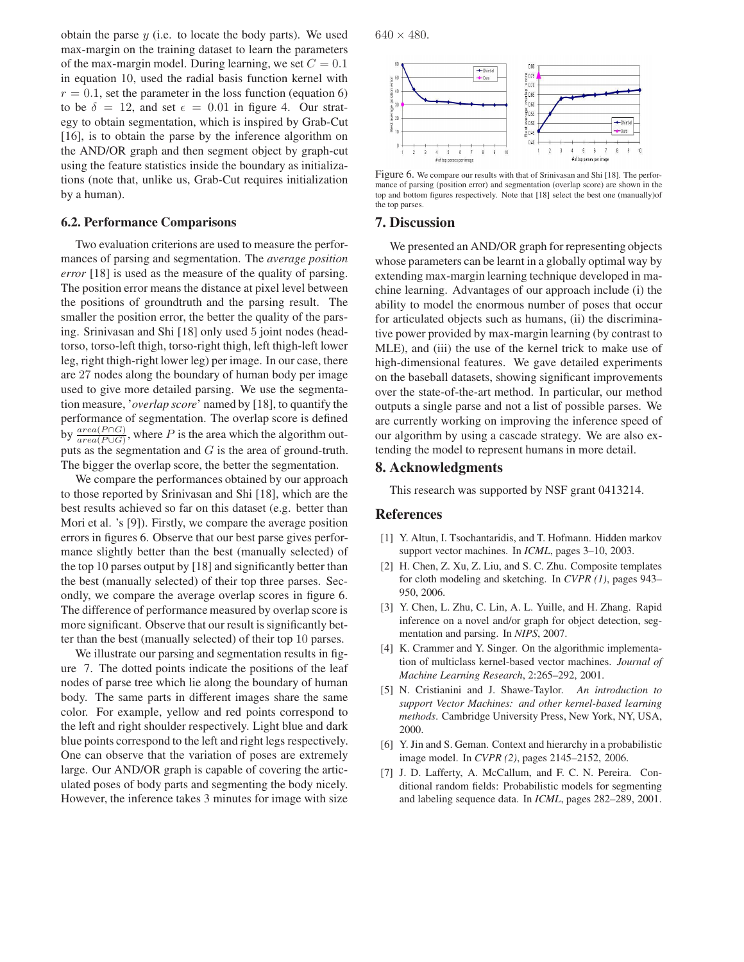obtain the parse  $y$  (i.e. to locate the body parts). We used max-margin on the training dataset to learn the parameters of the max-margin model. During learning, we set  $C = 0.1$ in equation 10, used the radial basis function kernel with  $r = 0.1$ , set the parameter in the loss function (equation 6) to be  $\delta = 12$ , and set  $\epsilon = 0.01$  in figure 4. Our strat-<br>eav to obtain segmentation, which is inspired by Grab-Cut egy to obtain segmentation, which is inspired by Grab-Cut [16], is to obtain the parse by the inference algorithm on the AND/OR graph and then segment object by graph-cut using the feature statistics inside the boundary as initializations (note that, unlike us, Grab-Cut requires initialization by a human).

#### **6.2. Performance Comparisons**

Two evaluation criterions are used to measure the performances of parsing and segmentation. The *average position error* [18] is used as the measure of the quality of parsing. The position error means the distance at pixel level between the positions of groundtruth and the parsing result. The smaller the position error, the better the quality of the parsing. Srinivasan and Shi [18] only used 5 joint nodes (headtorso, torso-left thigh, torso-right thigh, left thigh-left lower leg, right thigh-right lower leg) per image. In our case, there are 27 nodes along the boundary of human body per image used to give more detailed parsing. We use the segmentation measure, '*overlap score*' named by [18], to quantify the performance of segmentation. The overlap score is defined by  $\frac{area(P \cap G)}{area(P \cup G)}$ , where P is the area which the algorithm outputs as the segmentation and  $G$  is the area of ground-truth. The bigger the overlap score, the better the segmentation.

We compare the performances obtained by our approach to those reported by Srinivasan and Shi [18], which are the best results achieved so far on this dataset (e.g. better than Mori et al. 's [9]). Firstly, we compare the average position errors in figures 6. Observe that our best parse gives performance slightly better than the best (manually selected) of the top 10 parses output by [18] and significantly better than the best (manually selected) of their top three parses. Secondly, we compare the average overlap scores in figure 6. The difference of performance measured by overlap score is more significant. Observe that our result is significantly better than the best (manually selected) of their top 10 parses.

We illustrate our parsing and segmentation results in figure 7. The dotted points indicate the positions of the leaf nodes of parse tree which lie along the boundary of human body. The same parts in different images share the same color. For example, yellow and red points correspond to the left and right shoulder respectively. Light blue and dark blue points correspond to the left and right legs respectively. One can observe that the variation of poses are extremely large. Our AND/OR graph is capable of covering the articulated poses of body parts and segmenting the body nicely. However, the inference takes 3 minutes for image with size

 $640 \times 480.$ 



Figure 6. We compare our results with that of Srinivasan and Shi [18]. The performance of parsing (position error) and segmentation (overlap score) are shown in the top and bottom figures respectively. Note that [18] select the best one (manually)of the top parses.

### **7. Discussion**

We presented an AND/OR graph for representing objects whose parameters can be learnt in a globally optimal way by extending max-margin learning technique developed in machine learning. Advantages of our approach include (i) the ability to model the enormous number of poses that occur for articulated objects such as humans, (ii) the discriminative power provided by max-margin learning (by contrast to MLE), and (iii) the use of the kernel trick to make use of high-dimensional features. We gave detailed experiments on the baseball datasets, showing significant improvements over the state-of-the-art method. In particular, our method outputs a single parse and not a list of possible parses. We are currently working on improving the inference speed of our algorithm by using a cascade strategy. We are also extending the model to represent humans in more detail.

# **8. Acknowledgments**

This research was supported by NSF grant 0413214.

### **References**

- [1] Y. Altun, I. Tsochantaridis, and T. Hofmann. Hidden markov support vector machines. In *ICML*, pages 3–10, 2003.
- [2] H. Chen, Z. Xu, Z. Liu, and S. C. Zhu. Composite templates for cloth modeling and sketching. In *CVPR (1)*, pages 943– 950, 2006.
- [3] Y. Chen, L. Zhu, C. Lin, A. L. Yuille, and H. Zhang. Rapid inference on a novel and/or graph for object detection, segmentation and parsing. In *NIPS*, 2007.
- [4] K. Crammer and Y. Singer. On the algorithmic implementation of multiclass kernel-based vector machines. *Journal of Machine Learning Research*, 2:265–292, 2001.
- [5] N. Cristianini and J. Shawe-Taylor. *An introduction to support Vector Machines: and other kernel-based learning methods*. Cambridge University Press, New York, NY, USA, 2000.
- [6] Y. Jin and S. Geman. Context and hierarchy in a probabilistic image model. In *CVPR (2)*, pages 2145–2152, 2006.
- [7] J. D. Lafferty, A. McCallum, and F. C. N. Pereira. Conditional random fields: Probabilistic models for segmenting and labeling sequence data. In *ICML*, pages 282–289, 2001.